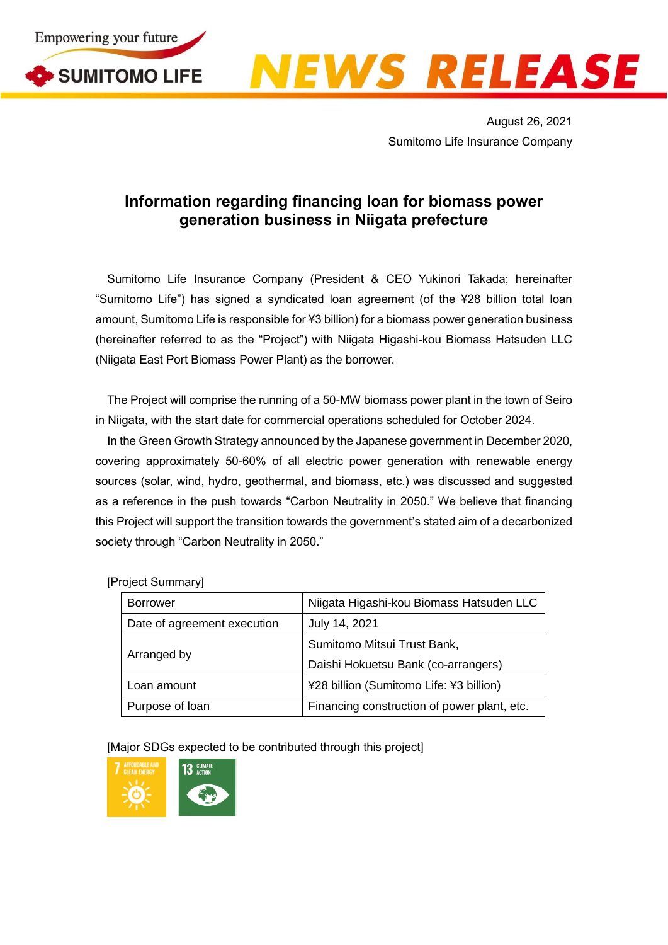



August 26, 2021 Sumitomo Life Insurance Company

## **Information regarding financing loan for biomass power generation business in Niigata prefecture**

Sumitomo Life Insurance Company (President & CEO Yukinori Takada; hereinafter "Sumitomo Life") has signed a syndicated loan agreement (of the ¥28 billion total loan amount, Sumitomo Life is responsible for ¥3 billion) for a biomass power generation business (hereinafter referred to as the "Project") with Niigata Higashi-kou Biomass Hatsuden LLC (Niigata East Port Biomass Power Plant) as the borrower.

The Project will comprise the running of a 50-MW biomass power plant in the town of Seiro in Niigata, with the start date for commercial operations scheduled for October 2024.

In the Green Growth Strategy announced by the Japanese government in December 2020, covering approximately 50-60% of all electric power generation with renewable energy sources (solar, wind, hydro, geothermal, and biomass, etc.) was discussed and suggested as a reference in the push towards "Carbon Neutrality in 2050." We believe that financing this Project will support the transition towards the government's stated aim of a decarbonized society through "Carbon Neutrality in 2050."

| <b>Borrower</b>             | Niigata Higashi-kou Biomass Hatsuden LLC    |
|-----------------------------|---------------------------------------------|
| Date of agreement execution | July 14, 2021                               |
| Arranged by                 | Sumitomo Mitsui Trust Bank,                 |
|                             | Daishi Hokuetsu Bank (co-arrangers)         |
| Loan amount                 | ¥28 billion (Sumitomo Life: ¥3 billion)     |
| Purpose of loan             | Financing construction of power plant, etc. |

[Project Summary]

[Major SDGs expected to be contributed through this project]